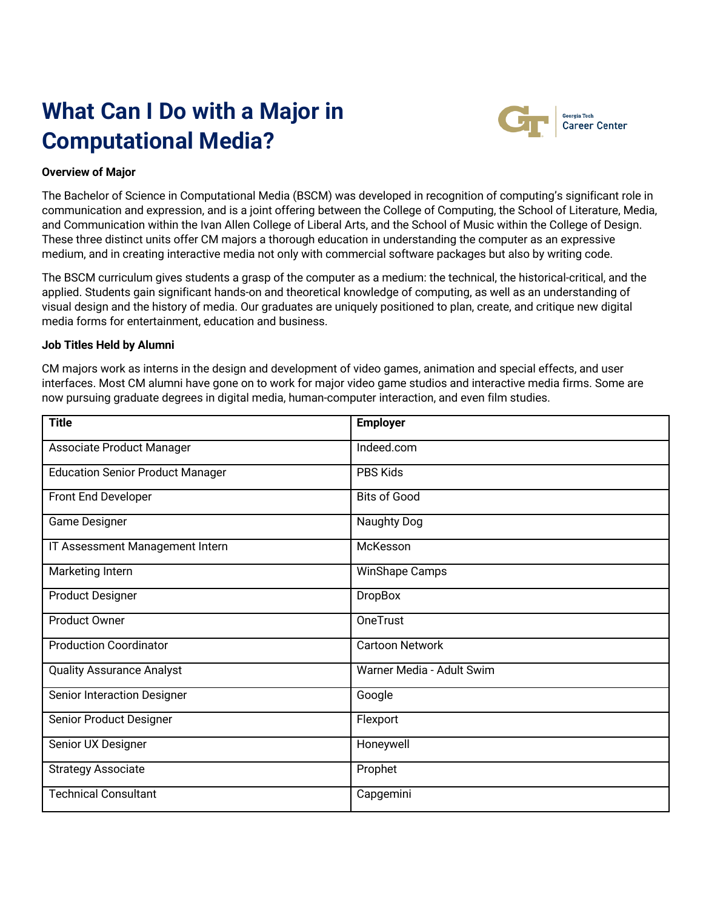# **What Can I Do with a Major in Computational Media?**



#### Georgia Tech **Career Center**

# **Overview of Major**

The Bachelor of Science in Computational Media (BSCM) was developed in recognition of computing's significant role in communication and expression, and is a joint offering between the College of Computing, the School of Literature, Media, and Communication within the Ivan Allen College of Liberal Arts, and the School of Music within the College of Design. These three distinct units offer CM majors a thorough education in understanding the computer as an expressive medium, and in creating interactive media not only with commercial software packages but also by writing code.

The BSCM curriculum gives students a grasp of the computer as a medium: the technical, the historical-critical, and the applied. Students gain significant hands-on and theoretical knowledge of computing, as well as an understanding of visual design and the history of media. Our graduates are uniquely positioned to plan, create, and critique new digital media forms for entertainment, education and business.

### **Job Titles Held by Alumni**

CM majors work as interns in the design and development of video games, animation and special effects, and user interfaces. Most CM alumni have gone on to work for major video game studios and interactive media firms. Some are now pursuing graduate degrees in digital media, human-computer interaction, and even film studies.

| <b>Title</b>                            | <b>Employer</b>           |  |
|-----------------------------------------|---------------------------|--|
| Associate Product Manager               | Indeed.com                |  |
| <b>Education Senior Product Manager</b> | PBS Kids                  |  |
| Front End Developer                     | <b>Bits of Good</b>       |  |
| Game Designer                           | Naughty Dog               |  |
| IT Assessment Management Intern         | McKesson                  |  |
| Marketing Intern                        | <b>WinShape Camps</b>     |  |
| <b>Product Designer</b>                 | <b>DropBox</b>            |  |
| <b>Product Owner</b>                    | OneTrust                  |  |
| <b>Production Coordinator</b>           | <b>Cartoon Network</b>    |  |
| <b>Quality Assurance Analyst</b>        | Warner Media - Adult Swim |  |
| Senior Interaction Designer             | Google                    |  |
| Senior Product Designer                 | Flexport                  |  |
| Senior UX Designer                      | Honeywell                 |  |
| <b>Strategy Associate</b>               | Prophet                   |  |
| <b>Technical Consultant</b>             | Capgemini                 |  |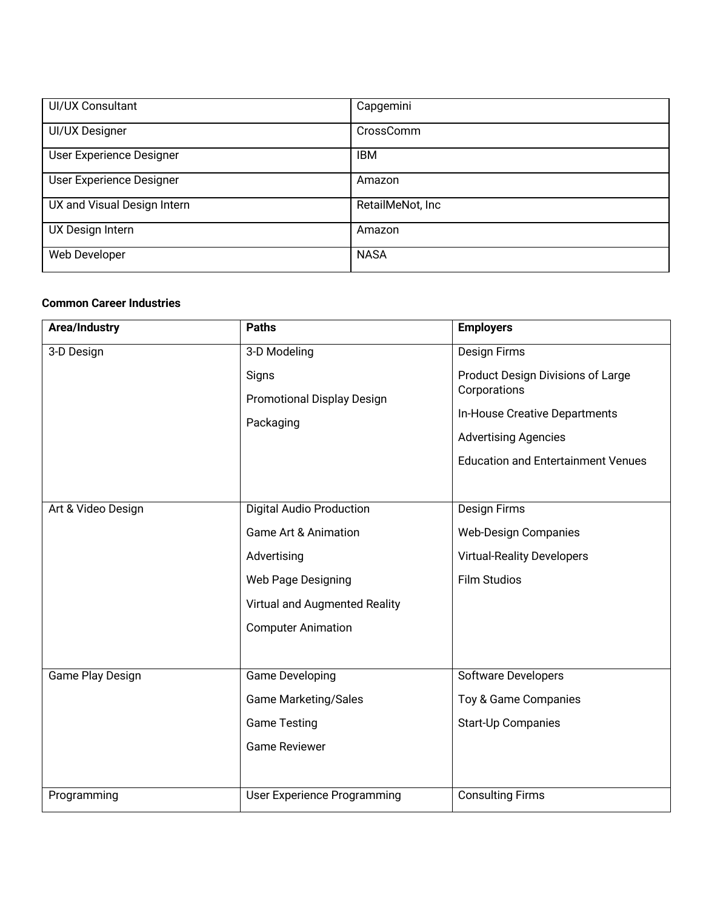| UI/UX Consultant            | Capgemini        |
|-----------------------------|------------------|
| UI/UX Designer              | CrossComm        |
| User Experience Designer    | <b>IBM</b>       |
| User Experience Designer    | Amazon           |
| UX and Visual Design Intern | RetailMeNot, Inc |
| UX Design Intern            | Amazon           |
| Web Developer               | <b>NASA</b>      |

# **Common Career Industries**

| Area/Industry      | <b>Paths</b>                                                                                                                                                          | <b>Employers</b>                                                                                                                                                                      |
|--------------------|-----------------------------------------------------------------------------------------------------------------------------------------------------------------------|---------------------------------------------------------------------------------------------------------------------------------------------------------------------------------------|
| 3-D Design         | 3-D Modeling<br>Signs<br><b>Promotional Display Design</b><br>Packaging                                                                                               | <b>Design Firms</b><br>Product Design Divisions of Large<br>Corporations<br>In-House Creative Departments<br><b>Advertising Agencies</b><br><b>Education and Entertainment Venues</b> |
| Art & Video Design | <b>Digital Audio Production</b><br><b>Game Art &amp; Animation</b><br>Advertising<br>Web Page Designing<br>Virtual and Augmented Reality<br><b>Computer Animation</b> | <b>Design Firms</b><br><b>Web-Design Companies</b><br><b>Virtual-Reality Developers</b><br><b>Film Studios</b>                                                                        |
| Game Play Design   | <b>Game Developing</b><br><b>Game Marketing/Sales</b><br><b>Game Testing</b><br><b>Game Reviewer</b>                                                                  | <b>Software Developers</b><br>Toy & Game Companies<br>Start-Up Companies                                                                                                              |
| Programming        | User Experience Programming                                                                                                                                           | <b>Consulting Firms</b>                                                                                                                                                               |